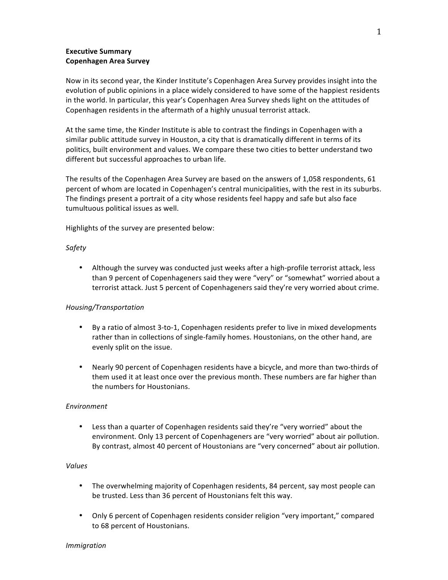### **Executive Summary Copenhagen Area Survey**

Now in its second year, the Kinder Institute's Copenhagen Area Survey provides insight into the evolution of public opinions in a place widely considered to have some of the happiest residents in the world. In particular, this year's Copenhagen Area Survey sheds light on the attitudes of Copenhagen residents in the aftermath of a highly unusual terrorist attack.

At the same time, the Kinder Institute is able to contrast the findings in Copenhagen with a similar public attitude survey in Houston, a city that is dramatically different in terms of its politics, built environment and values. We compare these two cities to better understand two different but successful approaches to urban life.

The results of the Copenhagen Area Survey are based on the answers of 1,058 respondents, 61 percent of whom are located in Copenhagen's central municipalities, with the rest in its suburbs. The findings present a portrait of a city whose residents feel happy and safe but also face tumultuous political issues as well.

Highlights of the survey are presented below:

### *Safety*

• Although the survey was conducted just weeks after a high-profile terrorist attack, less than 9 percent of Copenhageners said they were "very" or "somewhat" worried about a terrorist attack. Just 5 percent of Copenhageners said they're very worried about crime.

#### *Housing/Transportation*

- By a ratio of almost 3-to-1, Copenhagen residents prefer to live in mixed developments rather than in collections of single-family homes. Houstonians, on the other hand, are evenly split on the issue.
- Nearly 90 percent of Copenhagen residents have a bicycle, and more than two-thirds of them used it at least once over the previous month. These numbers are far higher than the numbers for Houstonians.

#### *Environment*

• Less than a quarter of Copenhagen residents said they're "very worried" about the environment. Only 13 percent of Copenhageners are "very worried" about air pollution. By contrast, almost 40 percent of Houstonians are "very concerned" about air pollution.

#### *Values*

- The overwhelming majority of Copenhagen residents, 84 percent, say most people can be trusted. Less than 36 percent of Houstonians felt this way.
- Only 6 percent of Copenhagen residents consider religion "very important," compared to 68 percent of Houstonians.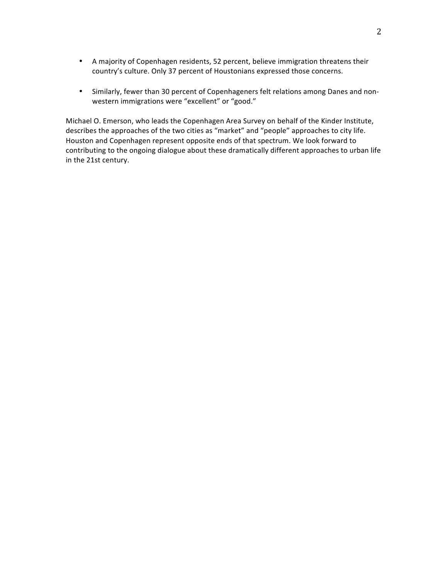- A majority of Copenhagen residents, 52 percent, believe immigration threatens their country's culture. Only 37 percent of Houstonians expressed those concerns.
- Similarly, fewer than 30 percent of Copenhageners felt relations among Danes and nonwestern immigrations were "excellent" or "good."

Michael O. Emerson, who leads the Copenhagen Area Survey on behalf of the Kinder Institute, describes the approaches of the two cities as "market" and "people" approaches to city life. Houston and Copenhagen represent opposite ends of that spectrum. We look forward to contributing to the ongoing dialogue about these dramatically different approaches to urban life in the 21st century.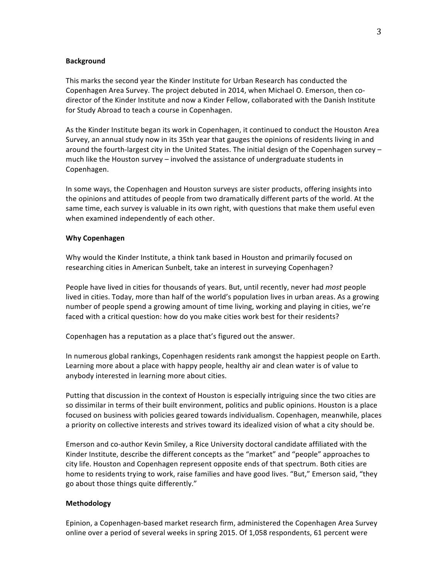#### **Background**

This marks the second year the Kinder Institute for Urban Research has conducted the Copenhagen Area Survey. The project debuted in 2014, when Michael O. Emerson, then codirector of the Kinder Institute and now a Kinder Fellow, collaborated with the Danish Institute for Study Abroad to teach a course in Copenhagen.

As the Kinder Institute began its work in Copenhagen, it continued to conduct the Houston Area Survey, an annual study now in its 35th year that gauges the opinions of residents living in and around the fourth-largest city in the United States. The initial design of the Copenhagen survey  $$ much like the Houston survey  $-$  involved the assistance of undergraduate students in Copenhagen. 

In some ways, the Copenhagen and Houston surveys are sister products, offering insights into the opinions and attitudes of people from two dramatically different parts of the world. At the same time, each survey is valuable in its own right, with questions that make them useful even when examined independently of each other.

#### **Why Copenhagen**

Why would the Kinder Institute, a think tank based in Houston and primarily focused on researching cities in American Sunbelt, take an interest in surveying Copenhagen?

People have lived in cities for thousands of years. But, until recently, never had *most* people lived in cities. Today, more than half of the world's population lives in urban areas. As a growing number of people spend a growing amount of time living, working and playing in cities, we're faced with a critical question: how do you make cities work best for their residents?

Copenhagen has a reputation as a place that's figured out the answer.

In numerous global rankings, Copenhagen residents rank amongst the happiest people on Earth. Learning more about a place with happy people, healthy air and clean water is of value to anybody interested in learning more about cities.

Putting that discussion in the context of Houston is especially intriguing since the two cities are so dissimilar in terms of their built environment, politics and public opinions. Houston is a place focused on business with policies geared towards individualism. Copenhagen, meanwhile, places a priority on collective interests and strives toward its idealized vision of what a city should be.

Emerson and co-author Kevin Smiley, a Rice University doctoral candidate affiliated with the Kinder Institute, describe the different concepts as the "market" and "people" approaches to city life. Houston and Copenhagen represent opposite ends of that spectrum. Both cities are home to residents trying to work, raise families and have good lives. "But," Emerson said, "they go about those things quite differently."

#### **Methodology**

Epinion, a Copenhagen-based market research firm, administered the Copenhagen Area Survey online over a period of several weeks in spring 2015. Of 1,058 respondents, 61 percent were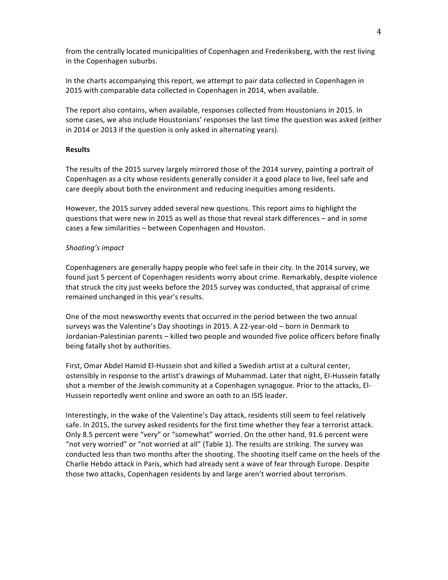from the centrally located municipalities of Copenhagen and Frederiksberg, with the rest living in the Copenhagen suburbs.

In the charts accompanying this report, we attempt to pair data collected in Copenhagen in 2015 with comparable data collected in Copenhagen in 2014, when available.

The report also contains, when available, responses collected from Houstonians in 2015. In some cases, we also include Houstonians' responses the last time the question was asked (either in 2014 or 2013 if the question is only asked in alternating years).

### **Results**

The results of the 2015 survey largely mirrored those of the 2014 survey, painting a portrait of Copenhagen as a city whose residents generally consider it a good place to live, feel safe and care deeply about both the environment and reducing inequities among residents.

However, the 2015 survey added several new questions. This report aims to highlight the questions that were new in 2015 as well as those that reveal stark differences – and in some cases a few similarities - between Copenhagen and Houston.

### *Shooting's impact*

Copenhageners are generally happy people who feel safe in their city. In the 2014 survey, we found just 5 percent of Copenhagen residents worry about crime. Remarkably, despite violence that struck the city just weeks before the 2015 survey was conducted, that appraisal of crime remained unchanged in this year's results.

One of the most newsworthy events that occurred in the period between the two annual surveys was the Valentine's Day shootings in 2015. A 22-year-old - born in Denmark to Jordanian-Palestinian parents – killed two people and wounded five police officers before finally being fatally shot by authorities.

First, Omar Abdel Hamid El-Hussein shot and killed a Swedish artist at a cultural center, ostensibly in response to the artist's drawings of Muhammad. Later that night, El-Hussein fatally shot a member of the Jewish community at a Copenhagen synagogue. Prior to the attacks, El-Hussein reportedly went online and swore an oath to an ISIS leader.

Interestingly, in the wake of the Valentine's Day attack, residents still seem to feel relatively safe. In 2015, the survey asked residents for the first time whether they fear a terrorist attack. Only 8.5 percent were "very" or "somewhat" worried. On the other hand, 91.6 percent were "not very worried" or "not worried at all" (Table 1). The results are striking. The survey was conducted less than two months after the shooting. The shooting itself came on the heels of the Charlie Hebdo attack in Paris, which had already sent a wave of fear through Europe. Despite those two attacks, Copenhagen residents by and large aren't worried about terrorism.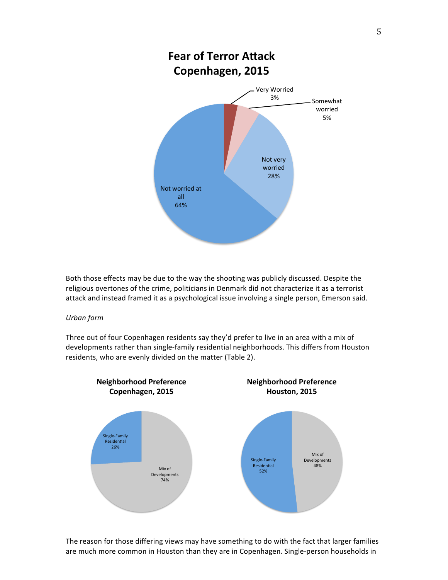

Both those effects may be due to the way the shooting was publicly discussed. Despite the religious overtones of the crime, politicians in Denmark did not characterize it as a terrorist attack and instead framed it as a psychological issue involving a single person, Emerson said.

#### *Urban form*

Three out of four Copenhagen residents say they'd prefer to live in an area with a mix of developments rather than single-family residential neighborhoods. This differs from Houston residents, who are evenly divided on the matter (Table 2).



The reason for those differing views may have something to do with the fact that larger families are much more common in Houston than they are in Copenhagen. Single-person households in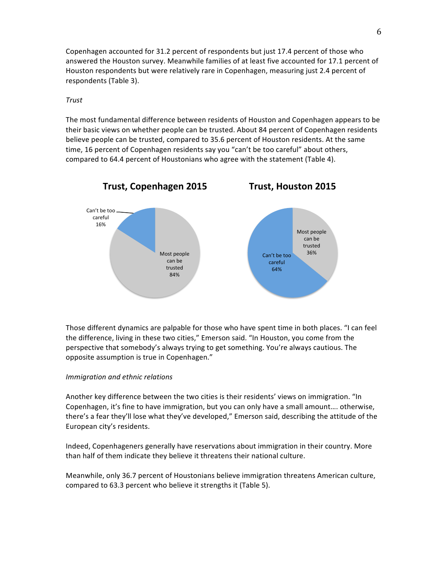Copenhagen accounted for 31.2 percent of respondents but just 17.4 percent of those who answered the Houston survey. Meanwhile families of at least five accounted for 17.1 percent of Houston respondents but were relatively rare in Copenhagen, measuring just 2.4 percent of respondents (Table 3).

### *Trust*

The most fundamental difference between residents of Houston and Copenhagen appears to be their basic views on whether people can be trusted. About 84 percent of Copenhagen residents believe people can be trusted, compared to 35.6 percent of Houston residents. At the same time, 16 percent of Copenhagen residents say you "can't be too careful" about others, compared to 64.4 percent of Houstonians who agree with the statement (Table 4).



Those different dynamics are palpable for those who have spent time in both places. "I can feel the difference, living in these two cities," Emerson said. "In Houston, you come from the perspective that somebody's always trying to get something. You're always cautious. The opposite assumption is true in Copenhagen."

#### *Immigration and ethnic relations*

Another key difference between the two cities is their residents' views on immigration. "In Copenhagen, it's fine to have immigration, but you can only have a small amount.... otherwise, there's a fear they'll lose what they've developed," Emerson said, describing the attitude of the European city's residents.

Indeed, Copenhageners generally have reservations about immigration in their country. More than half of them indicate they believe it threatens their national culture.

Meanwhile, only 36.7 percent of Houstonians believe immigration threatens American culture, compared to 63.3 percent who believe it strengths it (Table 5).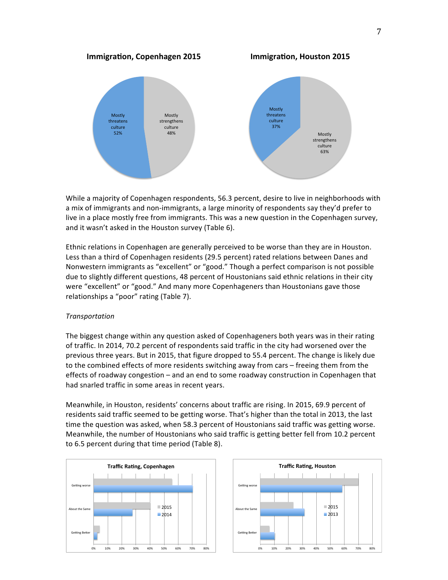

While a majority of Copenhagen respondents, 56.3 percent, desire to live in neighborhoods with a mix of immigrants and non-immigrants, a large minority of respondents say they'd prefer to live in a place mostly free from immigrants. This was a new question in the Copenhagen survey, and it wasn't asked in the Houston survey (Table 6).

Ethnic relations in Copenhagen are generally perceived to be worse than they are in Houston. Less than a third of Copenhagen residents (29.5 percent) rated relations between Danes and Nonwestern immigrants as "excellent" or "good." Though a perfect comparison is not possible due to slightly different questions, 48 percent of Houstonians said ethnic relations in their city were "excellent" or "good." And many more Copenhageners than Houstonians gave those relationships a "poor" rating (Table 7).

#### *Transportation*

The biggest change within any question asked of Copenhageners both years was in their rating of traffic. In 2014, 70.2 percent of respondents said traffic in the city had worsened over the previous three years. But in 2015, that figure dropped to 55.4 percent. The change is likely due to the combined effects of more residents switching away from cars – freeing them from the effects of roadway congestion  $-$  and an end to some roadway construction in Copenhagen that had snarled traffic in some areas in recent years.

Meanwhile, in Houston, residents' concerns about traffic are rising. In 2015, 69.9 percent of residents said traffic seemed to be getting worse. That's higher than the total in 2013, the last time the question was asked, when 58.3 percent of Houstonians said traffic was getting worse. Meanwhile, the number of Houstonians who said traffic is getting better fell from 10.2 percent to 6.5 percent during that time period (Table 8).



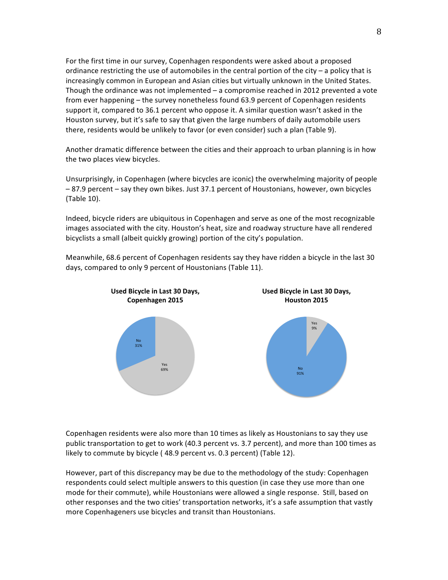For the first time in our survey, Copenhagen respondents were asked about a proposed ordinance restricting the use of automobiles in the central portion of the  $city - a$  policy that is increasingly common in European and Asian cities but virtually unknown in the United States. Though the ordinance was not implemented  $-$  a compromise reached in 2012 prevented a vote from ever happening – the survey nonetheless found 63.9 percent of Copenhagen residents support it, compared to  $36.1$  percent who oppose it. A similar question wasn't asked in the Houston survey, but it's safe to say that given the large numbers of daily automobile users there, residents would be unlikely to favor (or even consider) such a plan (Table 9).

Another dramatic difference between the cities and their approach to urban planning is in how the two places view bicycles.

Unsurprisingly, in Copenhagen (where bicycles are iconic) the overwhelming majority of people -87.9 percent - say they own bikes. Just 37.1 percent of Houstonians, however, own bicycles  $(Table 10)$ .

Indeed, bicycle riders are ubiquitous in Copenhagen and serve as one of the most recognizable images associated with the city. Houston's heat, size and roadway structure have all rendered bicyclists a small (albeit quickly growing) portion of the city's population.

Meanwhile, 68.6 percent of Copenhagen residents say they have ridden a bicycle in the last 30 days, compared to only 9 percent of Houstonians (Table 11).



Copenhagen residents were also more than 10 times as likely as Houstonians to say they use public transportation to get to work (40.3 percent vs. 3.7 percent), and more than 100 times as likely to commute by bicycle (48.9 percent vs. 0.3 percent) (Table 12).

However, part of this discrepancy may be due to the methodology of the study: Copenhagen respondents could select multiple answers to this question (in case they use more than one mode for their commute), while Houstonians were allowed a single response. Still, based on other responses and the two cities' transportation networks, it's a safe assumption that vastly more Copenhageners use bicycles and transit than Houstonians.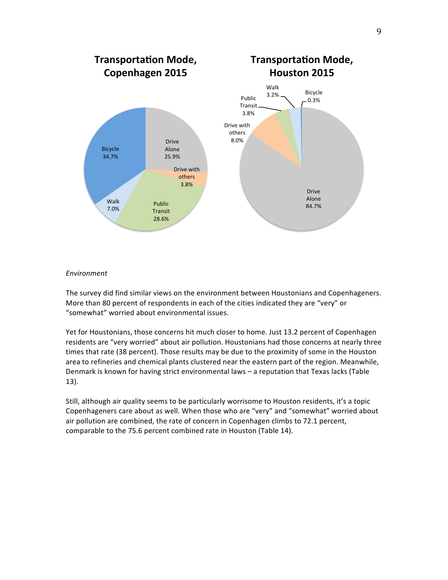

### *Environment*

The survey did find similar views on the environment between Houstonians and Copenhageners. More than 80 percent of respondents in each of the cities indicated they are "very" or "somewhat" worried about environmental issues.

Yet for Houstonians, those concerns hit much closer to home. Just 13.2 percent of Copenhagen residents are "very worried" about air pollution. Houstonians had those concerns at nearly three times that rate (38 percent). Those results may be due to the proximity of some in the Houston area to refineries and chemical plants clustered near the eastern part of the region. Meanwhile, Denmark is known for having strict environmental laws - a reputation that Texas lacks (Table 13). 

Still, although air quality seems to be particularly worrisome to Houston residents, it's a topic Copenhageners care about as well. When those who are "very" and "somewhat" worried about air pollution are combined, the rate of concern in Copenhagen climbs to 72.1 percent, comparable to the 75.6 percent combined rate in Houston (Table 14).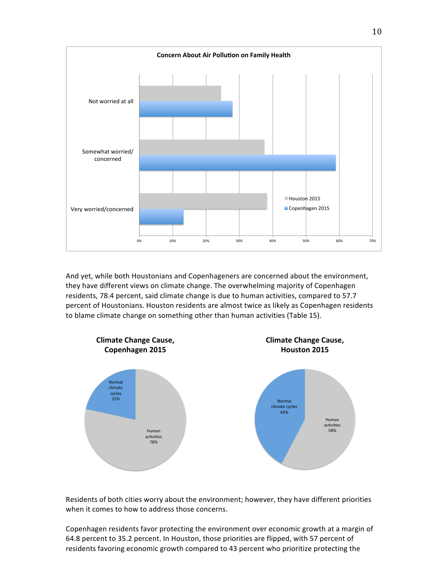

And yet, while both Houstonians and Copenhageners are concerned about the environment, they have different views on climate change. The overwhelming majority of Copenhagen residents, 78.4 percent, said climate change is due to human activities, compared to 57.7 percent of Houstonians. Houston residents are almost twice as likely as Copenhagen residents to blame climate change on something other than human activities (Table 15).



Residents of both cities worry about the environment; however, they have different priorities when it comes to how to address those concerns.

Copenhagen residents favor protecting the environment over economic growth at a margin of 64.8 percent to 35.2 percent. In Houston, those priorities are flipped, with 57 percent of residents favoring economic growth compared to 43 percent who prioritize protecting the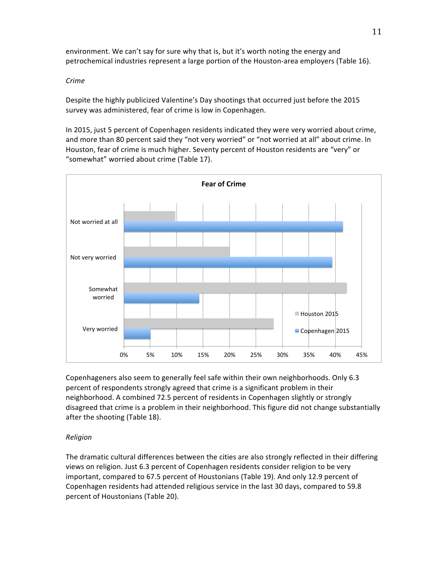environment. We can't say for sure why that is, but it's worth noting the energy and petrochemical industries represent a large portion of the Houston-area employers (Table 16).

### *Crime*

Despite the highly publicized Valentine's Day shootings that occurred just before the 2015 survey was administered, fear of crime is low in Copenhagen.

In 2015, just 5 percent of Copenhagen residents indicated they were very worried about crime, and more than 80 percent said they "not very worried" or "not worried at all" about crime. In Houston, fear of crime is much higher. Seventy percent of Houston residents are "very" or "somewhat" worried about crime (Table 17).



Copenhageners also seem to generally feel safe within their own neighborhoods. Only 6.3 percent of respondents strongly agreed that crime is a significant problem in their neighborhood. A combined 72.5 percent of residents in Copenhagen slightly or strongly disagreed that crime is a problem in their neighborhood. This figure did not change substantially after the shooting (Table 18).

## *Religion*

The dramatic cultural differences between the cities are also strongly reflected in their differing views on religion. Just 6.3 percent of Copenhagen residents consider religion to be very important, compared to 67.5 percent of Houstonians (Table 19). And only 12.9 percent of Copenhagen residents had attended religious service in the last 30 days, compared to 59.8 percent of Houstonians (Table 20).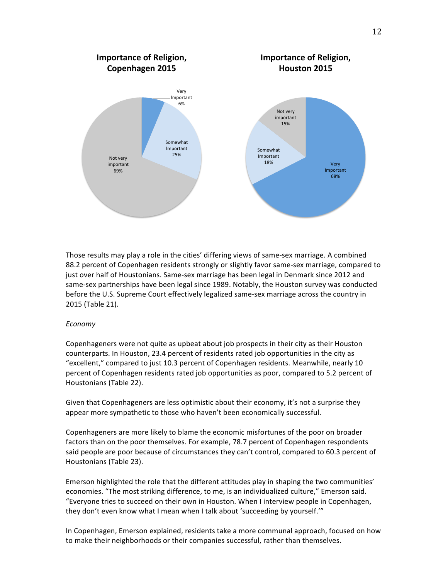

Those results may play a role in the cities' differing views of same-sex marriage. A combined 88.2 percent of Copenhagen residents strongly or slightly favor same-sex marriage, compared to just over half of Houstonians. Same-sex marriage has been legal in Denmark since 2012 and same-sex partnerships have been legal since 1989. Notably, the Houston survey was conducted before the U.S. Supreme Court effectively legalized same-sex marriage across the country in 2015 (Table 21).

#### *Economy*

Copenhageners were not quite as upbeat about job prospects in their city as their Houston counterparts. In Houston, 23.4 percent of residents rated job opportunities in the city as "excellent," compared to just 10.3 percent of Copenhagen residents. Meanwhile, nearly 10 percent of Copenhagen residents rated job opportunities as poor, compared to 5.2 percent of Houstonians (Table 22).

Given that Copenhageners are less optimistic about their economy, it's not a surprise they appear more sympathetic to those who haven't been economically successful.

Copenhageners are more likely to blame the economic misfortunes of the poor on broader factors than on the poor themselves. For example, 78.7 percent of Copenhagen respondents said people are poor because of circumstances they can't control, compared to 60.3 percent of Houstonians (Table 23).

Emerson highlighted the role that the different attitudes play in shaping the two communities' economies. "The most striking difference, to me, is an individualized culture," Emerson said. "Everyone tries to succeed on their own in Houston. When I interview people in Copenhagen, they don't even know what I mean when I talk about 'succeeding by yourself.'"

In Copenhagen, Emerson explained, residents take a more communal approach, focused on how to make their neighborhoods or their companies successful, rather than themselves.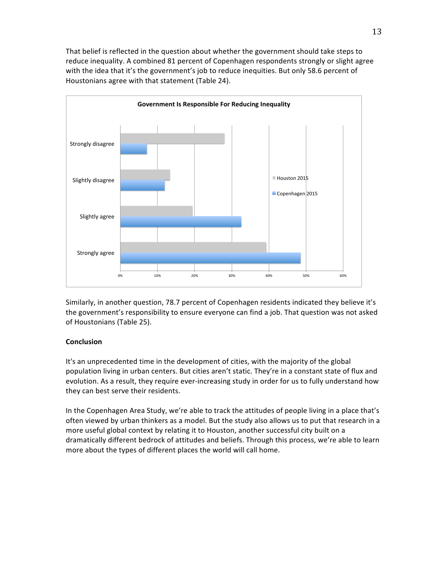That belief is reflected in the question about whether the government should take steps to reduce inequality. A combined 81 percent of Copenhagen respondents strongly or slight agree with the idea that it's the government's job to reduce inequities. But only 58.6 percent of Houstonians agree with that statement (Table 24).



Similarly, in another question, 78.7 percent of Copenhagen residents indicated they believe it's the government's responsibility to ensure everyone can find a job. That question was not asked of Houstonians (Table 25).

### **Conclusion**

It's an unprecedented time in the development of cities, with the majority of the global population living in urban centers. But cities aren't static. They're in a constant state of flux and evolution. As a result, they require ever-increasing study in order for us to fully understand how they can best serve their residents.

In the Copenhagen Area Study, we're able to track the attitudes of people living in a place that's often viewed by urban thinkers as a model. But the study also allows us to put that research in a more useful global context by relating it to Houston, another successful city built on a dramatically different bedrock of attitudes and beliefs. Through this process, we're able to learn more about the types of different places the world will call home.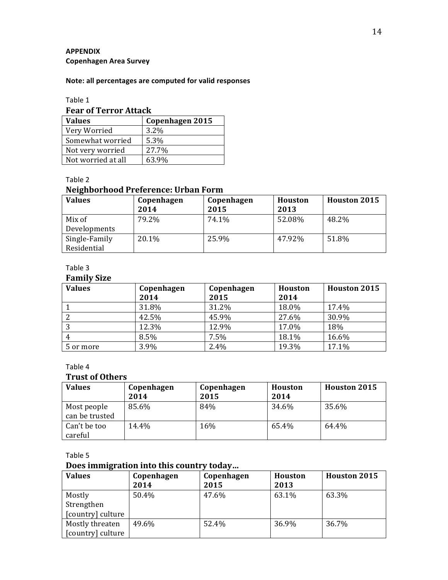## **APPENDIX Copenhagen Area Survey**

### **Note: all percentages are computed for valid responses**

## Table 1

# **Fear of Terror Attack**

| <b>Values</b>      | Copenhagen 2015 |
|--------------------|-----------------|
| Very Worried       | $3.2\%$         |
| Somewhat worried   | 5.3%            |
| Not very worried   | 27.7%           |
| Not worried at all | 63.9%           |

Table 2

# **Neighborhood Preference: Urban Form**

| <b>Values</b> | Copenhagen | Copenhagen | Houston | <b>Houston 2015</b> |
|---------------|------------|------------|---------|---------------------|
|               | 2014       | 2015       | 2013    |                     |
| Mix of        | 79.2%      | 74.1%      | 52.08%  | 48.2%               |
| Developments  |            |            |         |                     |
| Single-Family | 20.1%      | 25.9%      | 47.92%  | 51.8%               |
| Residential   |            |            |         |                     |

## Table 3

## **Family Size**

| <b>Values</b> | Copenhagen | Copenhagen | <b>Houston</b> | <b>Houston 2015</b> |
|---------------|------------|------------|----------------|---------------------|
|               | 2014       | 2015       | 2014           |                     |
|               | 31.8%      | 31.2%      | 18.0%          | 17.4%               |
|               | 42.5%      | 45.9%      | 27.6%          | 30.9%               |
|               | 12.3%      | 12.9%      | 17.0%          | 18%                 |
| 4             | 8.5%       | 7.5%       | 18.1%          | 16.6%               |
| 5 or more     | 3.9%       | 2.4%       | 19.3%          | 17.1%               |

## Table 4

## **Trust of Others**

| <b>Values</b>                 | Copenhagen<br>2014 | Copenhagen<br>2015 | Houston<br>2014 | <b>Houston 2015</b> |
|-------------------------------|--------------------|--------------------|-----------------|---------------------|
| Most people<br>can be trusted | 85.6%              | 84%                | 34.6%           | 35.6%               |
| Can't be too<br>careful       | 14.4%              | 16%                | 65.4%           | 64.4%               |

Table 5

# **Does immigration into this country today...**

| <b>Values</b>     | Copenhagen<br>2014 | Copenhagen<br>2015 | <b>Houston</b><br>2013 | <b>Houston 2015</b> |
|-------------------|--------------------|--------------------|------------------------|---------------------|
| Mostly            | 50.4%              | 47.6%              | 63.1%                  | 63.3%               |
| Strengthen        |                    |                    |                        |                     |
| [country] culture |                    |                    |                        |                     |
| Mostly threaten   | 49.6%              | 52.4%              | 36.9%                  | 36.7%               |
| [country] culture |                    |                    |                        |                     |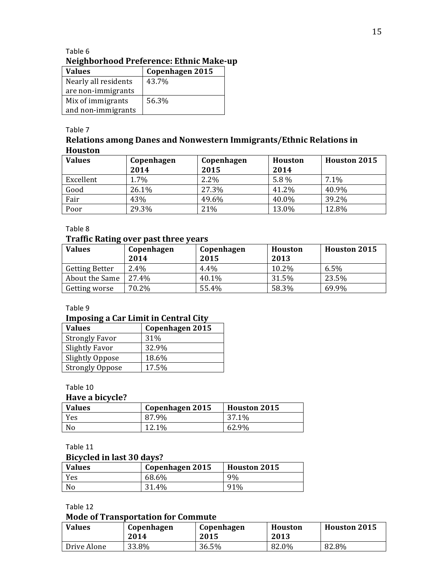| <b>Values</b>        | Copenhagen 2015 |
|----------------------|-----------------|
| Nearly all residents | 43.7%           |
| are non-immigrants   |                 |
| Mix of immigrants    | 56.3%           |
| and non-immigrants   |                 |

## **Relations among Danes and Nonwestern Immigrants/Ethnic Relations in Houston**

| <b>Values</b> | Copenhagen<br>2014 | Copenhagen<br>2015 | <b>Houston</b><br>2014 | <b>Houston 2015</b> |
|---------------|--------------------|--------------------|------------------------|---------------------|
| Excellent     | 1.7%               | $2.2\%$            | 5.8%                   | 7.1%                |
| Good          | 26.1%              | 27.3%              | 41.2%                  | 40.9%               |
| Fair          | 43%                | 49.6%              | 40.0%                  | 39.2%               |
| Poor          | 29.3%              | 21%                | 13.0%                  | 12.8%               |

Table 8

## **Traffic Rating over past three years**

| <b>Values</b>         | Copenhagen<br>2014 | Copenhagen<br>2015 | Houston<br>2013 | <b>Houston 2015</b> |
|-----------------------|--------------------|--------------------|-----------------|---------------------|
| <b>Getting Better</b> | 2.4%               | $4.4\%$            | 10.2%           | 6.5%                |
| About the Same        | 27.4%              | 40.1%              | 31.5%           | 23.5%               |
| Getting worse         | 70.2%              | 55.4%              | 58.3%           | 69.9%               |

## Table 9

## **Imposing a Car Limit in Central City**

| Values                 | Copenhagen 2015 |
|------------------------|-----------------|
| <b>Strongly Favor</b>  | 31%             |
| <b>Slightly Favor</b>  | 32.9%           |
| <b>Slightly Oppose</b> | 18.6%           |
| <b>Strongly Oppose</b> | 17.5%           |

## Table 10

### **Have a bicycle?**

| <b>Values</b> | Copenhagen 2015 | <b>Houston 2015</b> |
|---------------|-----------------|---------------------|
| Yes           | 87.9%           | 37.1%               |
| No            | 12.1%           | 62.9%               |

## Table 11

## **Bicycled** in last 30 days?

| <b>Values</b> | Copenhagen 2015 | <b>Houston 2015</b> |
|---------------|-----------------|---------------------|
| Yes           | 68.6%           | 9%                  |
| No            | 31.4%           | 91%                 |

Table 12

### **Mode of Transportation for Commute**

| <b>Values</b> | Copenhagen<br>2014 | Copenhagen<br>2015 | Houston<br>2013 | <b>Houston 2015</b> |
|---------------|--------------------|--------------------|-----------------|---------------------|
| Drive Alone   | 33.8%              | 36.5%              | 82.0%           | 82.8%               |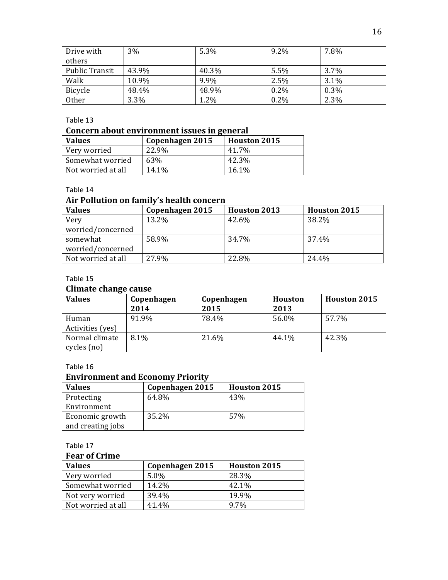| Drive with     | 3%    | 5.3%  | $9.2\%$ | 7.8% |
|----------------|-------|-------|---------|------|
| others         |       |       |         |      |
| Public Transit | 43.9% | 40.3% | 5.5%    | 3.7% |
| Walk           | 10.9% | 9.9%  | 2.5%    | 3.1% |
| Bicycle        | 48.4% | 48.9% | $0.2\%$ | 0.3% |
| Other          | 3.3%  | 1.2%  | $0.2\%$ | 2.3% |

## **Concern about environment issues in general**

| <b>Values</b>      | Copenhagen 2015 | <b>Houston 2015</b> |
|--------------------|-----------------|---------------------|
| Very worried       | 22.9%           | 41.7%               |
| Somewhat worried   | 63%             | 42.3%               |
| Not worried at all | 14.1%           | 16.1%               |

Table 14

## Air Pollution on family's health concern

| <b>Values</b>      | Copenhagen 2015 | <b>Houston 2013</b> | <b>Houston 2015</b> |
|--------------------|-----------------|---------------------|---------------------|
| Very               | 13.2%           | 42.6%               | 38.2%               |
| worried/concerned  |                 |                     |                     |
| somewhat           | 58.9%           | 34.7%               | 37.4%               |
| worried/concerned  |                 |                     |                     |
| Not worried at all | 27.9%           | 22.8%               | 24.4%               |

## Table 15

### **Climate change cause**

| <b>Values</b>                 | Copenhagen<br>2014 | Copenhagen<br>2015 | <b>Houston</b><br>2013 | Houston 2015 |
|-------------------------------|--------------------|--------------------|------------------------|--------------|
| Human<br>Activities (yes)     | 91.9%              | 78.4%              | 56.0%                  | 57.7%        |
| Normal climate<br>cycles (no) | 8.1%               | 21.6%              | 44.1%                  | 42.3%        |

## Table 16

## **Environment and Economy Priority**

| <b>Values</b>     | Copenhagen 2015 | <b>Houston 2015</b> |
|-------------------|-----------------|---------------------|
| Protecting        | 64.8%           | 43%                 |
| Environment       |                 |                     |
| Economic growth   | 35.2%           | 57%                 |
| and creating jobs |                 |                     |

Table 17

## **Fear of Crime**

| <b>Values</b>      | Copenhagen 2015 | <b>Houston 2015</b> |
|--------------------|-----------------|---------------------|
| Very worried       | $5.0\%$         | 28.3%               |
| Somewhat worried   | 14.2%           | 42.1%               |
| Not very worried   | 39.4%           | 19.9%               |
| Not worried at all | 41.4%           | 9.7%                |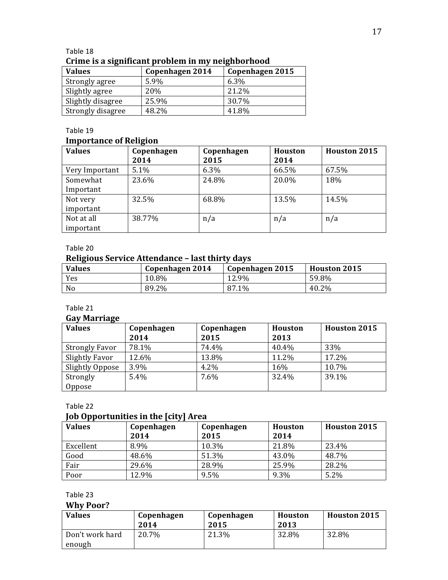| Table 18                                          |  |
|---------------------------------------------------|--|
| Crime is a significant problem in my neighborhood |  |

| <b>Values</b>     | Copenhagen 2014 | Copenhagen 2015 |
|-------------------|-----------------|-----------------|
| Strongly agree    | 5.9%            | 6.3%            |
| Slightly agree    | 20%             | 21.2%           |
| Slightly disagree | 25.9%           | 30.7%           |
| Strongly disagree | 48.2%           | 41.8%           |

# **Importance of Religion**

| <b>Values</b>  | Copenhagen | Copenhagen | <b>Houston</b> | <b>Houston 2015</b> |
|----------------|------------|------------|----------------|---------------------|
|                | 2014       | 2015       | 2014           |                     |
| Very Important | 5.1%       | 6.3%       | 66.5%          | 67.5%               |
| Somewhat       | 23.6%      | 24.8%      | 20.0%          | 18%                 |
| Important      |            |            |                |                     |
| Not very       | 32.5%      | 68.8%      | 13.5%          | 14.5%               |
| important      |            |            |                |                     |
| Not at all     | 38.77%     | n/a        | n/a            | n/a                 |
| important      |            |            |                |                     |

## Table 20

## **Religious Service Attendance – last thirty days**

| <b>Values</b> | Copenhagen 2014 | Copenhagen 2015 | <b>Houston 2015</b> |
|---------------|-----------------|-----------------|---------------------|
| Yes           | 10.8%           | 12.9%           | 59.8%               |
| No            | 89.2%           | 87.1%           | 40.2%               |

## Table 21

## **Gay Marriage**

| $-$ , $      -$<br><b>Values</b> | Copenhagen | Copenhagen | Houston | <b>Houston 2015</b> |
|----------------------------------|------------|------------|---------|---------------------|
|                                  | 2014       | 2015       | 2013    |                     |
| <b>Strongly Favor</b>            | 78.1%      | 74.4%      | 40.4%   | 33%                 |
| <b>Slightly Favor</b>            | 12.6%      | 13.8%      | 11.2%   | 17.2%               |
| Slightly Oppose                  | 3.9%       | 4.2%       | 16%     | 10.7%               |
| Strongly                         | 5.4%       | 7.6%       | 32.4%   | 39.1%               |
| Oppose                           |            |            |         |                     |

## Table 22

## **Job Opportunities in the [city] Area**

| , <b>.</b> .<br><b>Values</b> | .<br>Copenhagen<br>2014 | Copenhagen<br>2015 | <b>Houston</b><br>2014 | Houston 2015 |
|-------------------------------|-------------------------|--------------------|------------------------|--------------|
| Excellent                     | 8.9%                    | 10.3%              | 21.8%                  | 23.4%        |
| Good                          | 48.6%                   | 51.3%              | 43.0%                  | 48.7%        |
| Fair                          | 29.6%                   | 28.9%              | 25.9%                  | 28.2%        |
| Poor                          | 12.9%                   | 9.5%               | 9.3%                   | 5.2%         |

## Table 23

# **Why Poor?**

| <b>Values</b>             | Copenhagen<br>2014 | Copenhagen<br>2015 | Houston<br>2013 | <b>Houston 2015</b> |
|---------------------------|--------------------|--------------------|-----------------|---------------------|
| Don't work hard<br>enough | 20.7%              | 21.3%              | 32.8%           | 32.8%               |